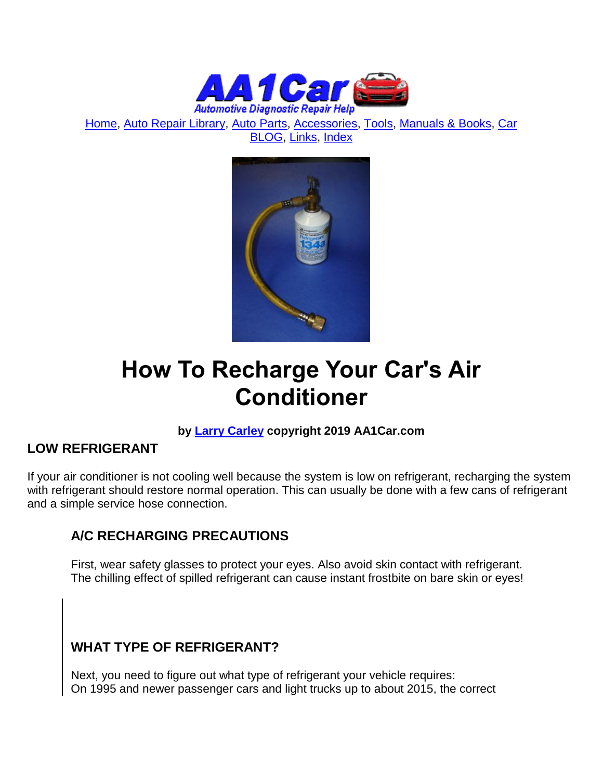

[Home,](http://www.aa1car.com/) [Auto Repair Library,](http://www.aa1car.com/library.htm) [Auto Parts,](http://www.aa1car.com/links_parts.htm) [Accessories,](http://www.aa1car.com/links_accessories.htm) [Tools,](http://www.aa1car.com/links_tools.htm) [Manuals & Books,](http://www.aa1car.com/links_books.htm) [Car](http://www.aa1car.com/blog/blog.htm)  [BLOG,](http://www.aa1car.com/blog/blog.htm) [Links,](http://www.aa1car.com/links.htm) [Index](http://www.aa1car.com/index_alphabetical.htm)



# **How To Recharge Your Car's Air Conditioner**

# **by [Larry Carley](https://www.aa1car.com/larrypage/larrycarley_photos.htm) copyright 2019 AA1Car.com**

# **LOW REFRIGERANT**

If your air conditioner is not cooling well because the system is low on refrigerant, recharging the system with refrigerant should restore normal operation. This can usually be done with a few cans of refrigerant and a simple service hose connection.

# **A/C RECHARGING PRECAUTIONS**

First, wear safety glasses to protect your eyes. Also avoid skin contact with refrigerant. The chilling effect of spilled refrigerant can cause instant frostbite on bare skin or eyes!

# **WHAT TYPE OF REFRIGERANT?**

Next, you need to figure out what type of refrigerant your vehicle requires: On 1995 and newer passenger cars and light trucks up to about 2015, the correct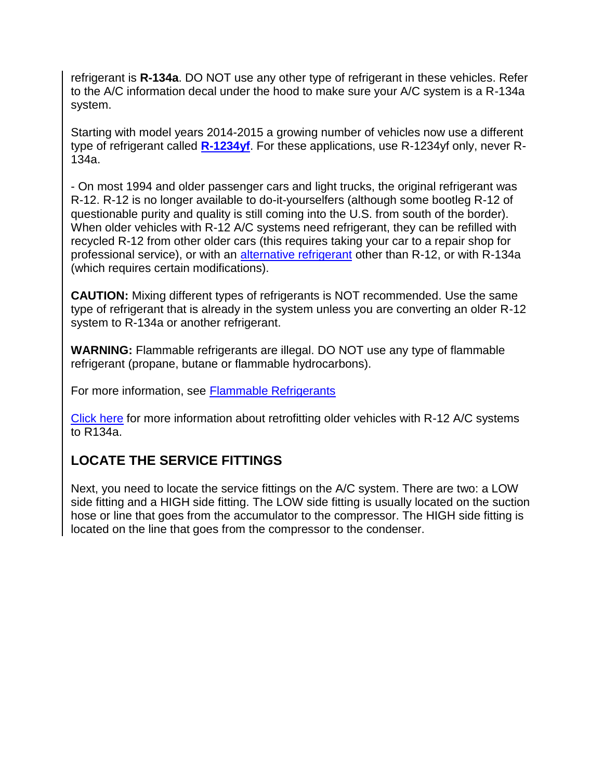refrigerant is **R-134a**. DO NOT use any other type of refrigerant in these vehicles. Refer to the A/C information decal under the hood to make sure your A/C system is a R-134a system.

Starting with model years 2014-2015 a growing number of vehicles now use a different type of refrigerant called **[R-1234yf](https://www.aa1car.com/library/hfo-1234yf.htm)**. For these applications, use R-1234yf only, never R-134a.

- On most 1994 and older passenger cars and light trucks, the original refrigerant was R-12. R-12 is no longer available to do-it-yourselfers (although some bootleg R-12 of questionable purity and quality is still coming into the U.S. from south of the border). When older vehicles with R-12 A/C systems need refrigerant, they can be refilled with recycled R-12 from other older cars (this requires taking your car to a repair shop for professional service), or with an [alternative refrigerant](http://www.aa1car.com/library/tr497.htm) other than R-12, or with R-134a (which requires certain modifications).

**CAUTION:** Mixing different types of refrigerants is NOT recommended. Use the same type of refrigerant that is already in the system unless you are converting an older R-12 system to R-134a or another refrigerant.

**WARNING:** Flammable refrigerants are illegal. DO NOT use any type of flammable refrigerant (propane, butane or flammable hydrocarbons).

For more information, see [Flammable Refrigerants](http://www.aa1car.com/library/flammable_refrigerants.htm)

[Click here](http://www.aa1car.com/library/retrofit.htm) for more information about retrofitting older vehicles with R-12 A/C systems to R134a.

# **LOCATE THE SERVICE FITTINGS**

Next, you need to locate the service fittings on the A/C system. There are two: a LOW side fitting and a HIGH side fitting. The LOW side fitting is usually located on the suction hose or line that goes from the accumulator to the compressor. The HIGH side fitting is located on the line that goes from the compressor to the condenser.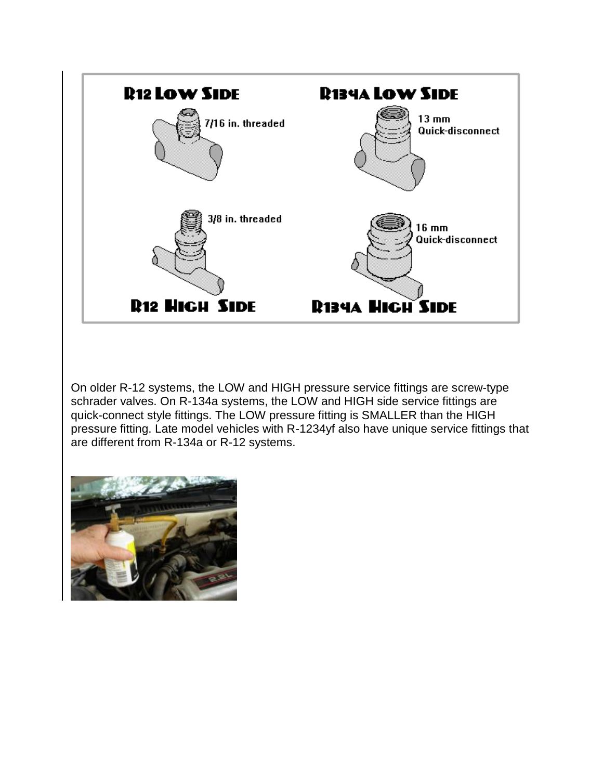

On older R-12 systems, the LOW and HIGH pressure service fittings are screw-type schrader valves. On R-134a systems, the LOW and HIGH side service fittings are quick-connect style fittings. The LOW pressure fitting is SMALLER than the HIGH pressure fitting. Late model vehicles with R-1234yf also have unique service fittings that are different from R-134a or R-12 systems.

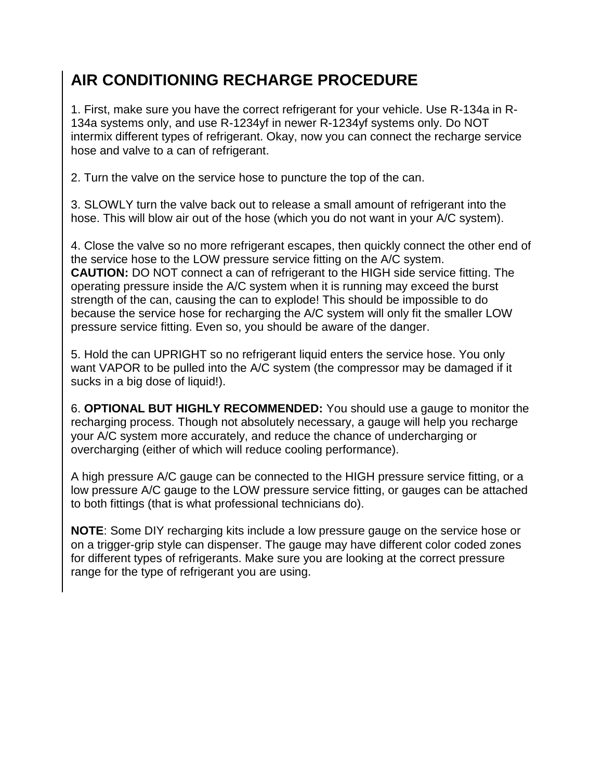# **AIR CONDITIONING RECHARGE PROCEDURE**

1. First, make sure you have the correct refrigerant for your vehicle. Use R-134a in R-134a systems only, and use R-1234yf in newer R-1234yf systems only. Do NOT intermix different types of refrigerant. Okay, now you can connect the recharge service hose and valve to a can of refrigerant.

2. Turn the valve on the service hose to puncture the top of the can.

3. SLOWLY turn the valve back out to release a small amount of refrigerant into the hose. This will blow air out of the hose (which you do not want in your A/C system).

4. Close the valve so no more refrigerant escapes, then quickly connect the other end of the service hose to the LOW pressure service fitting on the A/C system. **CAUTION:** DO NOT connect a can of refrigerant to the HIGH side service fitting. The operating pressure inside the A/C system when it is running may exceed the burst strength of the can, causing the can to explode! This should be impossible to do because the service hose for recharging the A/C system will only fit the smaller LOW pressure service fitting. Even so, you should be aware of the danger.

5. Hold the can UPRIGHT so no refrigerant liquid enters the service hose. You only want VAPOR to be pulled into the A/C system (the compressor may be damaged if it sucks in a big dose of liquid!).

6. **OPTIONAL BUT HIGHLY RECOMMENDED:** You should use a gauge to monitor the recharging process. Though not absolutely necessary, a gauge will help you recharge your A/C system more accurately, and reduce the chance of undercharging or overcharging (either of which will reduce cooling performance).

A high pressure A/C gauge can be connected to the HIGH pressure service fitting, or a low pressure A/C gauge to the LOW pressure service fitting, or gauges can be attached to both fittings (that is what professional technicians do).

**NOTE**: Some DIY recharging kits include a low pressure gauge on the service hose or on a trigger-grip style can dispenser. The gauge may have different color coded zones for different types of refrigerants. Make sure you are looking at the correct pressure range for the type of refrigerant you are using.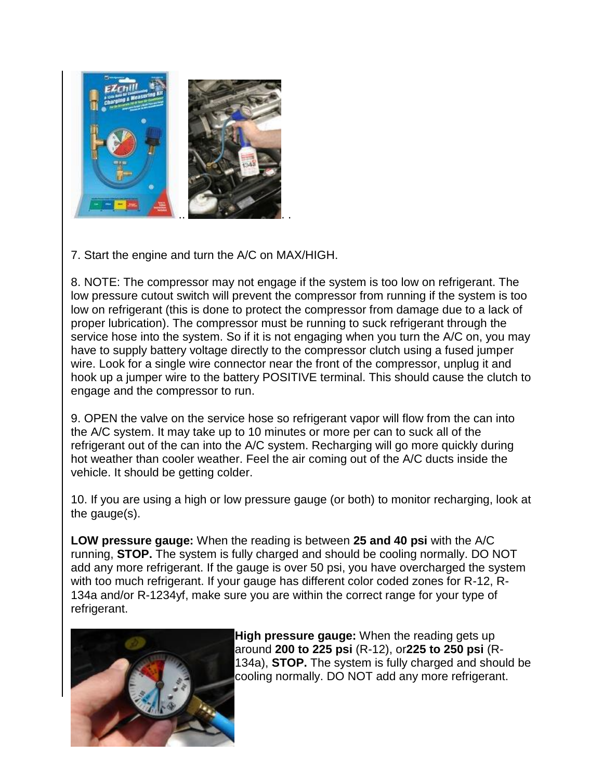

7. Start the engine and turn the A/C on MAX/HIGH.

8. NOTE: The compressor may not engage if the system is too low on refrigerant. The low pressure cutout switch will prevent the compressor from running if the system is too low on refrigerant (this is done to protect the compressor from damage due to a lack of proper lubrication). The compressor must be running to suck refrigerant through the service hose into the system. So if it is not engaging when you turn the A/C on, you may have to supply battery voltage directly to the compressor clutch using a fused jumper wire. Look for a single wire connector near the front of the compressor, unplug it and hook up a jumper wire to the battery POSITIVE terminal. This should cause the clutch to engage and the compressor to run.

9. OPEN the valve on the service hose so refrigerant vapor will flow from the can into the A/C system. It may take up to 10 minutes or more per can to suck all of the refrigerant out of the can into the A/C system. Recharging will go more quickly during hot weather than cooler weather. Feel the air coming out of the A/C ducts inside the vehicle. It should be getting colder.

10. If you are using a high or low pressure gauge (or both) to monitor recharging, look at the gauge(s).

**LOW pressure gauge:** When the reading is between **25 and 40 psi** with the A/C running, **STOP.** The system is fully charged and should be cooling normally. DO NOT add any more refrigerant. If the gauge is over 50 psi, you have overcharged the system with too much refrigerant. If your gauge has different color coded zones for R-12, R-134a and/or R-1234yf, make sure you are within the correct range for your type of refrigerant.



**High pressure gauge:** When the reading gets up around **200 to 225 psi** (R-12), or**225 to 250 psi** (R-134a), **STOP.** The system is fully charged and should be cooling normally. DO NOT add any more refrigerant.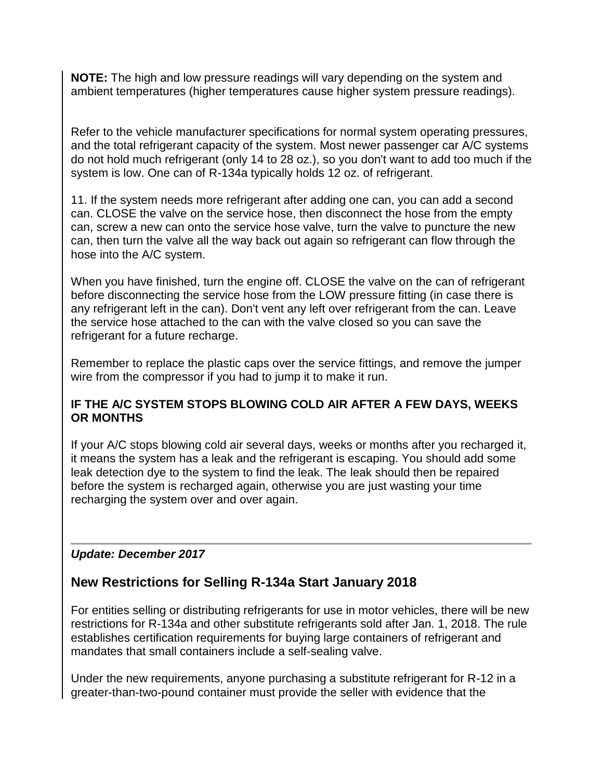**NOTE:** The high and low pressure readings will vary depending on the system and ambient temperatures (higher temperatures cause higher system pressure readings).

Refer to the vehicle manufacturer specifications for normal system operating pressures, and the total refrigerant capacity of the system. Most newer passenger car A/C systems do not hold much refrigerant (only 14 to 28 oz.), so you don't want to add too much if the system is low. One can of R-134a typically holds 12 oz. of refrigerant.

11. If the system needs more refrigerant after adding one can, you can add a second can. CLOSE the valve on the service hose, then disconnect the hose from the empty can, screw a new can onto the service hose valve, turn the valve to puncture the new can, then turn the valve all the way back out again so refrigerant can flow through the hose into the A/C system.

When you have finished, turn the engine off. CLOSE the valve on the can of refrigerant before disconnecting the service hose from the LOW pressure fitting (in case there is any refrigerant left in the can). Don't vent any left over refrigerant from the can. Leave the service hose attached to the can with the valve closed so you can save the refrigerant for a future recharge.

Remember to replace the plastic caps over the service fittings, and remove the jumper wire from the compressor if you had to jump it to make it run.

#### **IF THE A/C SYSTEM STOPS BLOWING COLD AIR AFTER A FEW DAYS, WEEKS OR MONTHS**

If your A/C stops blowing cold air several days, weeks or months after you recharged it, it means the system has a leak and the refrigerant is escaping. You should add some leak detection dye to the system to find the leak. The leak should then be repaired before the system is recharged again, otherwise you are just wasting your time recharging the system over and over again.

#### *Update: December 2017*

# **New Restrictions for Selling R-134a Start January 2018**

For entities selling or distributing refrigerants for use in motor vehicles, there will be new restrictions for R-134a and other substitute refrigerants sold after Jan. 1, 2018. The rule establishes certification requirements for buying large containers of refrigerant and mandates that small containers include a self-sealing valve.

Under the new requirements, anyone purchasing a substitute refrigerant for R-12 in a greater-than-two-pound container must provide the seller with evidence that the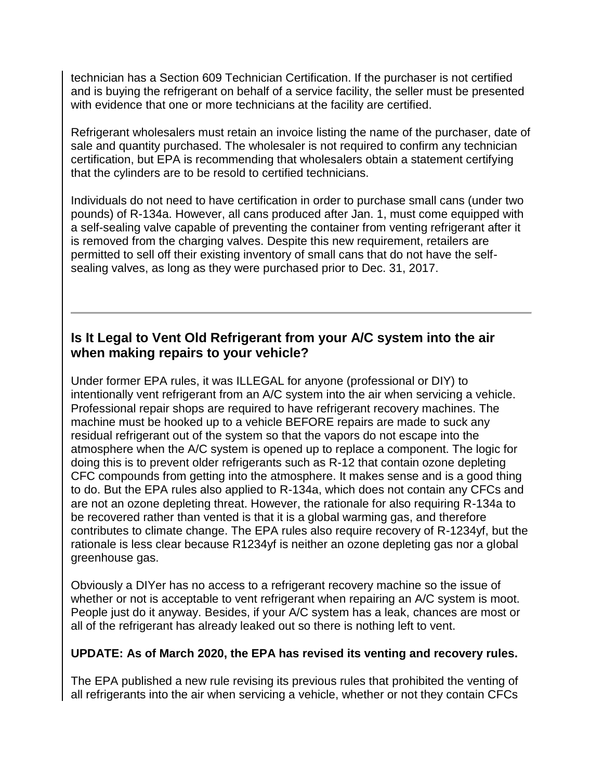technician has a Section 609 Technician Certification. If the purchaser is not certified and is buying the refrigerant on behalf of a service facility, the seller must be presented with evidence that one or more technicians at the facility are certified.

Refrigerant wholesalers must retain an invoice listing the name of the purchaser, date of sale and quantity purchased. The wholesaler is not required to confirm any technician certification, but EPA is recommending that wholesalers obtain a statement certifying that the cylinders are to be resold to certified technicians.

Individuals do not need to have certification in order to purchase small cans (under two pounds) of R-134a. However, all cans produced after Jan. 1, must come equipped with a self-sealing valve capable of preventing the container from venting refrigerant after it is removed from the charging valves. Despite this new requirement, retailers are permitted to sell off their existing inventory of small cans that do not have the selfsealing valves, as long as they were purchased prior to Dec. 31, 2017.

# **Is It Legal to Vent Old Refrigerant from your A/C system into the air when making repairs to your vehicle?**

Under former EPA rules, it was ILLEGAL for anyone (professional or DIY) to intentionally vent refrigerant from an A/C system into the air when servicing a vehicle. Professional repair shops are required to have refrigerant recovery machines. The machine must be hooked up to a vehicle BEFORE repairs are made to suck any residual refrigerant out of the system so that the vapors do not escape into the atmosphere when the A/C system is opened up to replace a component. The logic for doing this is to prevent older refrigerants such as R-12 that contain ozone depleting CFC compounds from getting into the atmosphere. It makes sense and is a good thing to do. But the EPA rules also applied to R-134a, which does not contain any CFCs and are not an ozone depleting threat. However, the rationale for also requiring R-134a to be recovered rather than vented is that it is a global warming gas, and therefore contributes to climate change. The EPA rules also require recovery of R-1234yf, but the rationale is less clear because R1234yf is neither an ozone depleting gas nor a global greenhouse gas.

Obviously a DIYer has no access to a refrigerant recovery machine so the issue of whether or not is acceptable to vent refrigerant when repairing an A/C system is moot. People just do it anyway. Besides, if your A/C system has a leak, chances are most or all of the refrigerant has already leaked out so there is nothing left to vent.

#### **UPDATE: As of March 2020, the EPA has revised its venting and recovery rules.**

The EPA published a new rule revising its previous rules that prohibited the venting of all refrigerants into the air when servicing a vehicle, whether or not they contain CFCs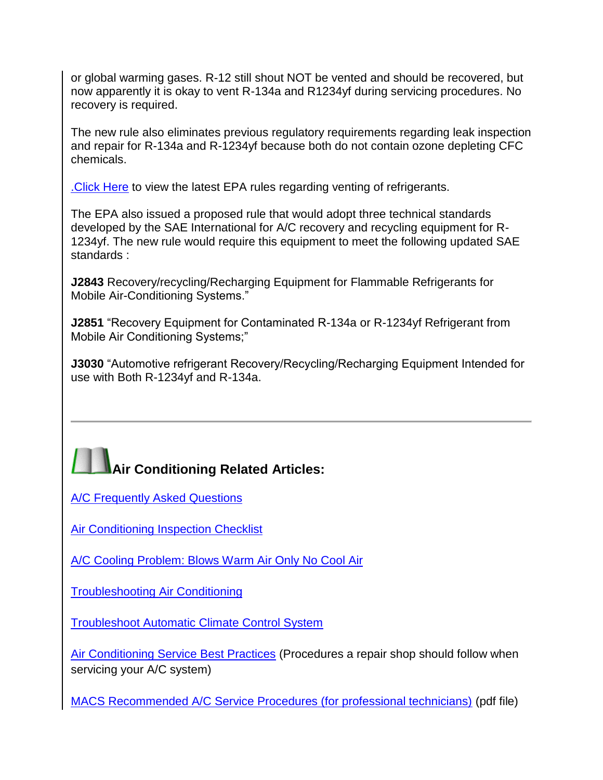or global warming gases. R-12 still shout NOT be vented and should be recovered, but now apparently it is okay to vent R-134a and R1234yf during servicing procedures. No recovery is required.

The new rule also eliminates previous regulatory requirements regarding leak inspection and repair for R-134a and R-1234yf because both do not contain ozone depleting CFC chemicals.

[.Click Here](https://www.govinfo.gov/content/pkg/FR-2020-03-11/pdf/2020-04773.pdf) to view the latest EPA rules regarding venting of refrigerants.

The EPA also issued a proposed rule that would adopt three technical standards developed by the SAE International for A/C recovery and recycling equipment for R-1234yf. The new rule would require this equipment to meet the following updated SAE standards :

**J2843** Recovery/recycling/Recharging Equipment for Flammable Refrigerants for Mobile Air-Conditioning Systems."

**J2851** "Recovery Equipment for Contaminated R-134a or R-1234yf Refrigerant from Mobile Air Conditioning Systems;"

**J3030** "Automotive refrigerant Recovery/Recycling/Recharging Equipment Intended for use with Both R-1234yf and R-134a.



**[A/C Frequently Asked Questions](http://www.aa1car.com/library/ac_faqs.htm)** 

[Air Conditioning Inspection Checklist](http://www.aa1car.com/library/air_conditioning_inspection_checklist.htm)

[A/C Cooling Problem: Blows Warm Air Only No Cool Air](http://www.aa1car.com/library/ac_no_cooling.htm)

[Troubleshooting Air Conditioning](http://www.aa1car.com/library/ac98.htm)

[Troubleshoot Automatic Climate Control System](http://www.aa1car.com/library/automatic_climate_control.htm)

[Air Conditioning Service Best Practices](http://www.aa1car.com/library/ac_best_practices.htm) (Procedures a repair shop should follow when servicing your A/C system)

[MACS Recommended A/C Service Procedures \(for professional technicians\)](http://www.aa1car.com/library/macs_service_procedures.pdf) (pdf file)